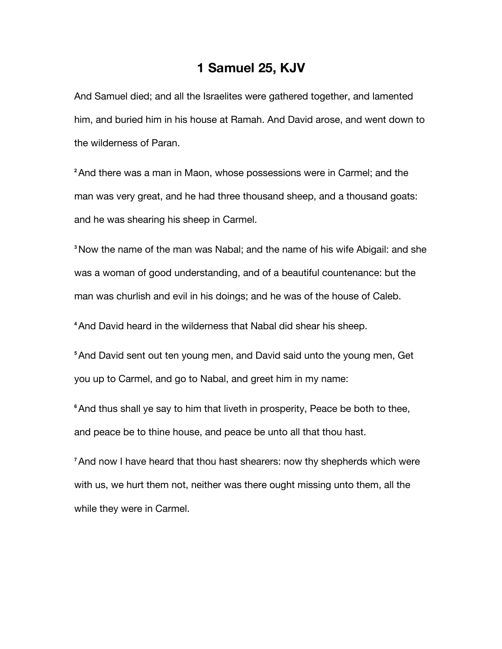## **1 Samuel 25, KJV**

And Samuel died; and all the Israelites were gathered together, and lamented him, and buried him in his house at Ramah. And David arose, and went down to the wilderness of Paran.

**<sup>2</sup>**And there was a man in Maon, whose possessions were in Carmel; and the man was very great, and he had three thousand sheep, and a thousand goats: and he was shearing his sheep in Carmel.

**<sup>3</sup>**Now the name of the man was Nabal; and the name of his wife Abigail: and she was a woman of good understanding, and of a beautiful countenance: but the man was churlish and evil in his doings; and he was of the house of Caleb.

**<sup>4</sup>**And David heard in the wilderness that Nabal did shear his sheep.

**<sup>5</sup>**And David sent out ten young men, and David said unto the young men, Get you up to Carmel, and go to Nabal, and greet him in my name:

<sup>6</sup> And thus shall ye say to him that liveth in prosperity, Peace be both to thee, and peace be to thine house, and peace be unto all that thou hast.

**<sup>7</sup>**And now I have heard that thou hast shearers: now thy shepherds which were with us, we hurt them not, neither was there ought missing unto them, all the while they were in Carmel.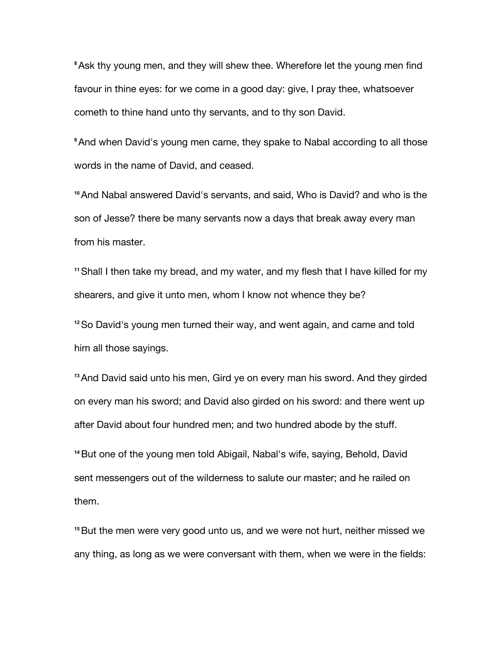**<sup>8</sup>**Ask thy young men, and they will shew thee. Wherefore let the young men find favour in thine eyes: for we come in a good day: give, I pray thee, whatsoever cometh to thine hand unto thy servants, and to thy son David.

**<sup>9</sup>**And when David's young men came, they spake to Nabal according to all those words in the name of David, and ceased.

**<sup>10</sup>**And Nabal answered David's servants, and said, Who is David? and who is the son of Jesse? there be many servants now a days that break away every man from his master.

**<sup>11</sup>**Shall I then take my bread, and my water, and my flesh that I have killed for my shearers, and give it unto men, whom I know not whence they be?

**<sup>12</sup>**So David's young men turned their way, and went again, and came and told him all those sayings.

**<sup>13</sup>**And David said unto his men, Gird ye on every man his sword. And they girded on every man his sword; and David also girded on his sword: and there went up after David about four hundred men; and two hundred abode by the stuff.

**<sup>14</sup>**But one of the young men told Abigail, Nabal's wife, saying, Behold, David sent messengers out of the wilderness to salute our master; and he railed on them.

**<sup>15</sup>**But the men were very good unto us, and we were not hurt, neither missed we any thing, as long as we were conversant with them, when we were in the fields: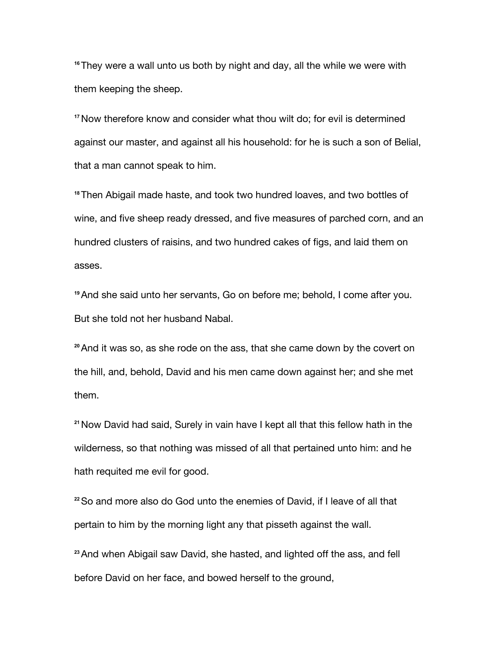**<sup>16</sup>**They were a wall unto us both by night and day, all the while we were with them keeping the sheep.

**<sup>17</sup>**Now therefore know and consider what thou wilt do; for evil is determined against our master, and against all his household: for he is such a son of Belial, that a man cannot speak to him.

**<sup>18</sup>**Then Abigail made haste, and took two hundred loaves, and two bottles of wine, and five sheep ready dressed, and five measures of parched corn, and an hundred clusters of raisins, and two hundred cakes of figs, and laid them on asses.

**<sup>19</sup>**And she said unto her servants, Go on before me; behold, I come after you. But she told not her husband Nabal.

**<sup>20</sup>**And it was so, as she rode on the ass, that she came down by the covert on the hill, and, behold, David and his men came down against her; and she met them.

**<sup>21</sup>**Now David had said, Surely in vain have I kept all that this fellow hath in the wilderness, so that nothing was missed of all that pertained unto him: and he hath requited me evil for good.

**<sup>22</sup>**So and more also do God unto the enemies of David, if I leave of all that pertain to him by the morning light any that pisseth against the wall.

**<sup>23</sup>**And when Abigail saw David, she hasted, and lighted off the ass, and fell before David on her face, and bowed herself to the ground,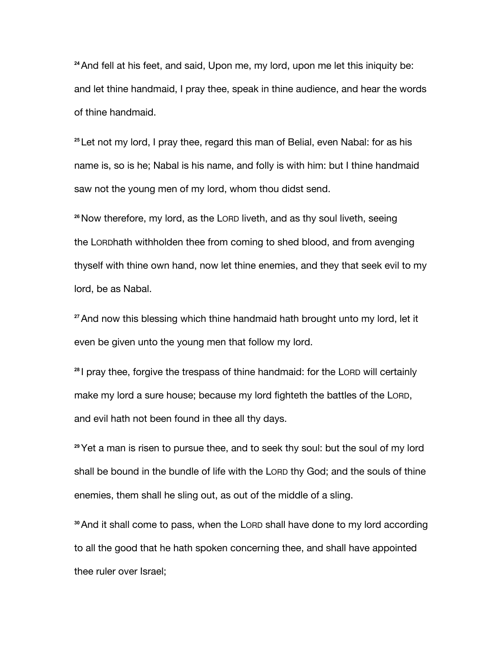**<sup>24</sup>**And fell at his feet, and said, Upon me, my lord, upon me let this iniquity be: and let thine handmaid, I pray thee, speak in thine audience, and hear the words of thine handmaid.

**<sup>25</sup>** Let not my lord, I pray thee, regard this man of Belial, even Nabal: for as his name is, so is he; Nabal is his name, and folly is with him: but I thine handmaid saw not the young men of my lord, whom thou didst send.

**<sup>26</sup>**Now therefore, my lord, as the LORD liveth, and as thy soul liveth, seeing the LORDhath withholden thee from coming to shed blood, and from avenging thyself with thine own hand, now let thine enemies, and they that seek evil to my lord, be as Nabal.

**<sup>27</sup>**And now this blessing which thine handmaid hath brought unto my lord, let it even be given unto the young men that follow my lord.

**<sup>28</sup>** I pray thee, forgive the trespass of thine handmaid: for the LORD will certainly make my lord a sure house; because my lord fighteth the battles of the LORD, and evil hath not been found in thee all thy days.

**<sup>29</sup>**Yet a man is risen to pursue thee, and to seek thy soul: but the soul of my lord shall be bound in the bundle of life with the LORD thy God; and the souls of thine enemies, them shall he sling out, as out of the middle of a sling.

**<sup>30</sup>**And it shall come to pass, when the LORD shall have done to my lord according to all the good that he hath spoken concerning thee, and shall have appointed thee ruler over Israel;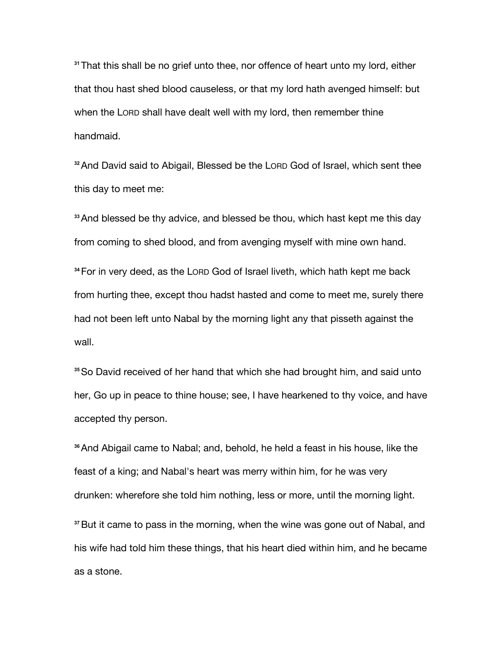**<sup>31</sup>**That this shall be no grief unto thee, nor offence of heart unto my lord, either that thou hast shed blood causeless, or that my lord hath avenged himself: but when the LORD shall have dealt well with my lord, then remember thine handmaid.

**<sup>32</sup>**And David said to Abigail, Blessed be the LORD God of Israel, which sent thee this day to meet me:

**<sup>33</sup>**And blessed be thy advice, and blessed be thou, which hast kept me this day from coming to shed blood, and from avenging myself with mine own hand.

**<sup>34</sup>**For in very deed, as the LORD God of Israel liveth, which hath kept me back from hurting thee, except thou hadst hasted and come to meet me, surely there had not been left unto Nabal by the morning light any that pisseth against the wall.

**<sup>35</sup>**So David received of her hand that which she had brought him, and said unto her, Go up in peace to thine house; see, I have hearkened to thy voice, and have accepted thy person.

**<sup>36</sup>**And Abigail came to Nabal; and, behold, he held a feast in his house, like the feast of a king; and Nabal's heart was merry within him, for he was very drunken: wherefore she told him nothing, less or more, until the morning light.

**<sup>37</sup>**But it came to pass in the morning, when the wine was gone out of Nabal, and his wife had told him these things, that his heart died within him, and he became as a stone.